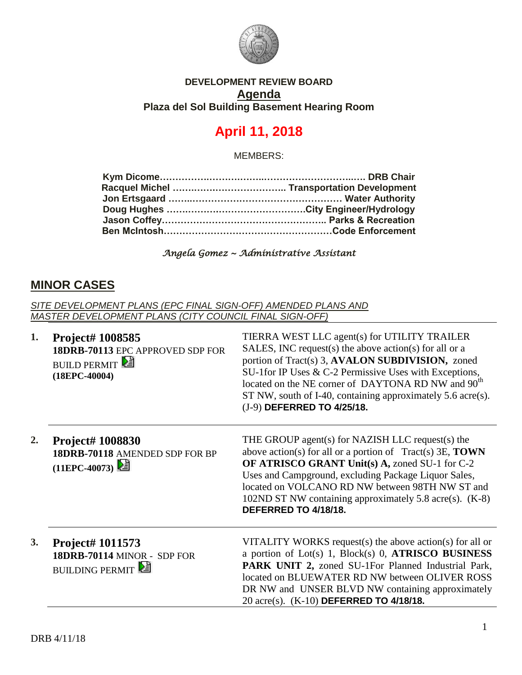

### **DEVELOPMENT REVIEW BOARD Agenda Plaza del Sol Building Basement Hearing Room**

# **April 11, 2018**

MEMBERS:

#### *Angela Gomez ~ Administrative Assistant*

# **MINOR CASES**

*SITE DEVELOPMENT PLANS (EPC FINAL SIGN-OFF) AMENDED PLANS AND MASTER DEVELOPMENT PLANS (CITY COUNCIL FINAL SIGN-OFF)*

| 1. | Project# 1008585<br>18DRB-70113 EPC APPROVED SDP FOR<br><b>BUILD PERMIT</b><br>$(18EPC-40004)$ | TIERRA WEST LLC agent(s) for UTILITY TRAILER<br>SALES, INC request(s) the above action(s) for all or a<br>portion of Tract(s) 3, AVALON SUBDIVISION, zoned<br>SU-1 for IP Uses & C-2 Permissive Uses with Exceptions,<br>located on the NE corner of DAYTONA RD NW and 90 <sup>th</sup><br>ST NW, south of I-40, containing approximately 5.6 acre(s).<br>(J-9) DEFERRED TO 4/25/18. |
|----|------------------------------------------------------------------------------------------------|--------------------------------------------------------------------------------------------------------------------------------------------------------------------------------------------------------------------------------------------------------------------------------------------------------------------------------------------------------------------------------------|
| 2. | Project# 1008830<br>18DRB-70118 AMENDED SDP FOR BP<br>$(11EPC-40073)$                          | THE GROUP agent(s) for NAZISH LLC request(s) the<br>above action(s) for all or a portion of $Tract(s)$ 3E, <b>TOWN</b><br>OF ATRISCO GRANT Unit(s) A, zoned SU-1 for C-2<br>Uses and Campground, excluding Package Liquor Sales,<br>located on VOLCANO RD NW between 98TH NW ST and<br>102ND ST NW containing approximately 5.8 acre(s). (K-8)<br>DEFERRED TO 4/18/18.               |
| 3. | Project# 1011573<br>18DRB-70114 MINOR - SDP FOR<br><b>BUILDING PERMIT</b>                      | VITALITY WORKS request(s) the above action(s) for all or<br>a portion of Lot(s) 1, Block(s) 0, ATRISCO BUSINESS<br>PARK UNIT 2, zoned SU-1For Planned Industrial Park,<br>located on BLUEWATER RD NW between OLIVER ROSS<br>DR NW and UNSER BLVD NW containing approximately<br>20 acre(s). (K-10) DEFERRED TO 4/18/18.                                                              |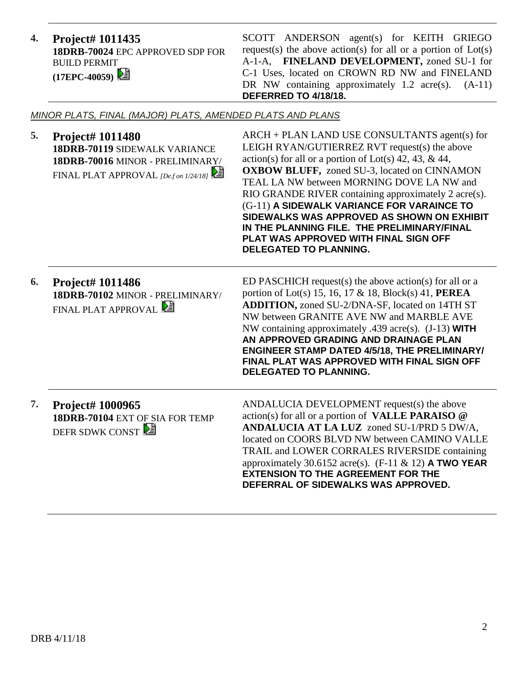**4. Project# 1011435 18DRB-70024** EPC APPROVED SDP FOR BUILD PERMIT **(17EPC-40059)** 

SCOTT ANDERSON agent(s) for KEITH GRIEGO request(s) the above action(s) for all or a portion of  $Lot(s)$ A-1-A, **FINELAND DEVELOPMENT,** zoned SU-1 for C-1 Uses, located on CROWN RD NW and FINELAND DR NW containing approximately 1.2 acre(s).  $(A-11)$ **DEFERRED TO 4/18/18.**

*MINOR PLATS, FINAL (MAJOR) PLATS, AMENDED PLATS AND PLANS*

**5. Project# 1011480 18DRB-70119** SIDEWALK VARIANCE **18DRB-70016** MINOR - PRELIMINARY/ FINAL PLAT APPROVAL *[De.f on 1/24/18]*  ARCH + PLAN LAND USE CONSULTANTS agent(s) for LEIGH RYAN/GUTIERREZ RVT request(s) the above action(s) for all or a portion of Lot(s)  $42, 43, \& 44,$ **OXBOW BLUFF,** zoned SU-3, located on CINNAMON TEAL LA NW between MORNING DOVE LA NW and RIO GRANDE RIVER containing approximately 2 acre(s). (G-11) **A SIDEWALK VARIANCE FOR VARAINCE TO SIDEWALKS WAS APPROVED AS SHOWN ON EXHIBIT IN THE PLANNING FILE. THE PRELIMINARY/FINAL PLAT WAS APPROVED WITH FINAL SIGN OFF DELEGATED TO PLANNING. 6. Project# 1011486 18DRB-70102** MINOR - PRELIMINARY/ **FINAL PLAT APPROVAL** ED PASCHICH request(s) the above action(s) for all or a portion of Lot(s) 15, 16, 17 & 18, Block(s) 41, **PEREA ADDITION,** zoned SU-2/DNA-SF, located on 14TH ST NW between GRANITE AVE NW and MARBLE AVE NW containing approximately .439 acre(s). (J-13) **WITH AN APPROVED GRADING AND DRAINAGE PLAN ENGINEER STAMP DATED 4/5/18, THE PRELIMINARY/ FINAL PLAT WAS APPROVED WITH FINAL SIGN OFF DELEGATED TO PLANNING. 7. Project# 1000965 18DRB-70104** EXT OF SIA FOR TEMP DEFR SDWK CONST ANDALUCIA DEVELOPMENT request(s) the above action(s) for all or a portion of **VALLE PARAISO @ ANDALUCIA AT LA LUZ** zoned SU-1/PRD 5 DW/A, located on COORS BLVD NW between CAMINO VALLE TRAIL and LOWER CORRALES RIVERSIDE containing approximately 30.6152 acre(s). (F-11 & 12) **A TWO YEAR EXTENSION TO THE AGREEMENT FOR THE DEFERRAL OF SIDEWALKS WAS APPROVED.**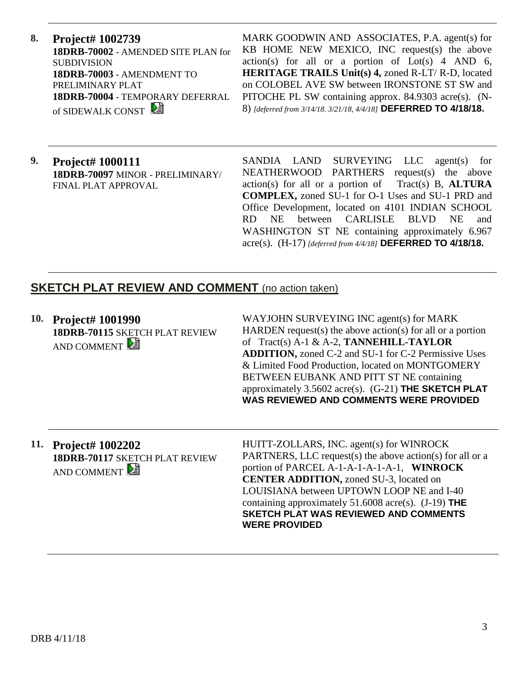**8. Project# 1002739 18DRB-70002** - AMENDED SITE PLAN for **SUBDIVISION 18DRB-70003** - AMENDMENT TO PRELIMINARY PLAT **18DRB-70004** - TEMPORARY DEFERRAL of SIDEWALK CONST

MARK GOODWIN AND ASSOCIATES, P.A. agent(s) for KB HOME NEW MEXICO, INC request(s) the above  $action(s)$  for all or a portion of  $Lot(s)$  4 AND 6, **HERITAGE TRAILS Unit(s) 4,** zoned R-LT/ R-D, located on COLOBEL AVE SW between IRONSTONE ST SW and PITOCHE PL SW containing approx. 84.9303 acre(s). (N-8) *[deferred from 3/14/18. 3/21/18, 4/4/18]* **DEFERRED TO 4/18/18.**

**9. Project# 1000111 18DRB-70097** MINOR - PRELIMINARY/ FINAL PLAT APPROVAL

SANDIA LAND SURVEYING LLC agent(s) for NEATHERWOOD PARTHERS request(s) the above action(s) for all or a portion of Tract(s) B, **ALTURA COMPLEX,** zoned SU-1 for O-1 Uses and SU-1 PRD and Office Development, located on 4101 INDIAN SCHOOL RD NE between CARLISLE BLVD NE and WASHINGTON ST NE containing approximately 6.967 acre(s). (H-17) *[deferred from 4/4/18]* **DEFERRED TO 4/18/18.** 

# **SKETCH PLAT REVIEW AND COMMENT** (no action taken)

**10. Project# 1001990 18DRB-70115** SKETCH PLAT REVIEW AND COMMENT

WAYJOHN SURVEYING INC agent(s) for MARK HARDEN request(s) the above action(s) for all or a portion of Tract(s) A-1 & A-2, **TANNEHILL-TAYLOR ADDITION,** zoned C-2 and SU-1 for C-2 Permissive Uses & Limited Food Production, located on MONTGOMERY BETWEEN EUBANK AND PITT ST NE containing approximately 3.5602 acre(s). (G-21) **THE SKETCH PLAT WAS REVIEWED AND COMMENTS WERE PROVIDED**

**11. Project# 1002202 18DRB-70117** SKETCH PLAT REVIEW AND COMMENT

HUITT-ZOLLARS, INC. agent(s) for WINROCK PARTNERS, LLC request(s) the above action(s) for all or a portion of PARCEL A-1-A-1-A-1-A-1, **WINROCK CENTER ADDITION,** zoned SU-3, located on LOUISIANA between UPTOWN LOOP NE and I-40 containing approximately 51.6008 acre(s). (J-19) **THE SKETCH PLAT WAS REVIEWED AND COMMENTS WERE PROVIDED**